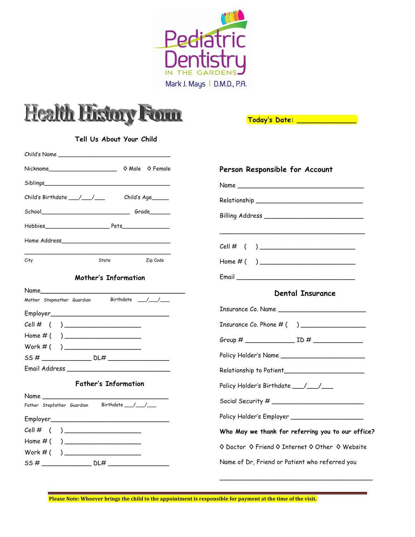



 **Today's Date: \_\_\_\_\_\_\_\_\_\_\_\_\_\_**

\_\_\_\_\_\_\_\_\_\_\_\_\_\_\_\_\_\_\_\_\_\_\_\_\_\_\_\_\_\_\_\_\_\_\_\_\_\_\_\_

÷

| Tell Us About Your Child                                                                                                                                                                                                       |          |                                                   |
|--------------------------------------------------------------------------------------------------------------------------------------------------------------------------------------------------------------------------------|----------|---------------------------------------------------|
|                                                                                                                                                                                                                                |          |                                                   |
| Nickname Mickname Mickname Mickname Mickname Mickname Mickname Mickname Mickname Mickname Mickname Mickname Mickname Mickname Mickname Mickname Mickname Mickname Mickname Mickname Mickname Mickname Mickname Mickname Mickna |          | Person Responsible for Account                    |
| Siblings and the state of the state of the state of the state of the state of the state of the state of the state of the state of the state of the state of the state of the state of the state of the state of the state of t |          |                                                   |
| Child's Birthdate ___/___/____ Child's Age_____                                                                                                                                                                                |          |                                                   |
|                                                                                                                                                                                                                                |          |                                                   |
|                                                                                                                                                                                                                                |          |                                                   |
|                                                                                                                                                                                                                                |          | $Cell \# ( )$                                     |
| City<br>State                                                                                                                                                                                                                  | Zip Code |                                                   |
| Mother's Information                                                                                                                                                                                                           |          |                                                   |
| Name<br>Mother Stepmother Guardian Birthdate __/__/__                                                                                                                                                                          |          | <b>Dental Insurance</b>                           |
|                                                                                                                                                                                                                                |          | Insurance Co. Name                                |
| $Cell \# ( )$ ____________________                                                                                                                                                                                             |          |                                                   |
| Home # ( )                                                                                                                                                                                                                     |          |                                                   |
|                                                                                                                                                                                                                                |          | Policy Holder's Name __________________________   |
|                                                                                                                                                                                                                                |          | Relationship to Patient_________________________  |
| <b>Father's Information</b>                                                                                                                                                                                                    |          | Policy Holder's Birthdate ___/__/__               |
| Father Stepfather Guardian Birthdate 1                                                                                                                                                                                         |          |                                                   |
|                                                                                                                                                                                                                                |          |                                                   |
| Cell # $( )$ ______________________                                                                                                                                                                                            |          | Who May we thank for referring you to our office? |
| Home # ( )                                                                                                                                                                                                                     |          | ♦ Doctor ♦ Friend ♦ Internet ♦ Other ♦ Website    |
| $Work #( ) \_$                                                                                                                                                                                                                 |          | Name of Dr, Friend or Patient who referred you    |

Please Note: Whoever brings the child to the appointment is responsible for payment at the time of the visit.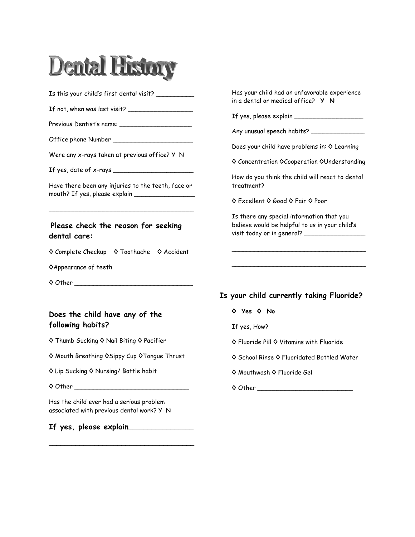

Is this your child's first dental visit? \_\_\_\_\_\_\_\_\_\_\_

If not, when was last visit?  $\overline{\phantom{a}}$ 

Previous Dentist's name: \_\_\_\_\_\_\_\_\_\_\_\_\_\_\_\_\_\_\_

Office phone Number \_\_\_\_\_\_\_\_\_\_\_\_\_\_\_\_\_\_\_\_\_

Were any x-rays taken at previous office? Y N

If yes, date of x-rays \_\_\_\_\_\_\_\_\_\_\_\_\_\_\_\_\_\_\_\_\_

Have there been any injuries to the teeth, face or mouth? If yes, please explain \_\_\_\_\_\_\_\_\_\_\_\_\_\_\_\_

\_\_\_\_\_\_\_\_\_\_\_\_\_\_\_\_\_\_\_\_\_\_\_\_\_\_\_\_\_\_\_\_\_\_\_\_\_\_

#### **Please check the reason for seeking dental care:**

◊ Complete Checkup ◊ Toothache ◊ Accident

◊Appearance of teeth

◊ Other \_\_\_\_\_\_\_\_\_\_\_\_\_\_\_\_\_\_\_\_\_\_\_\_\_\_\_\_\_\_\_

#### **Does the child have any of the following habits?**

- ◊ Thumb Sucking ◊ Nail Biting ◊ Pacifier
- ◊ Mouth Breathing ◊Sippy Cup ◊Tongue Thrust
- ◊ Lip Sucking ◊ Nursing/ Bottle habit

 $\diamond$  Other  $\Box$ 

Has the child ever had a serious problem associated with previous dental work? Y N

**If yes, please explain\_\_\_\_\_\_\_\_\_\_\_\_\_\_\_\_\_**

**\_\_\_\_\_\_\_\_\_\_\_\_\_\_\_\_\_\_\_\_\_\_\_\_\_\_\_\_\_\_\_\_\_\_\_\_\_\_**

Has your child had an unfavorable experience in a dental or medical office? **Y N**

If yes, please explain  $\frac{1}{2}$ 

Any unusual speech habits? \_\_\_\_\_\_\_\_\_\_\_\_\_\_\_\_

Does your child have problems in: ◊ Learning

◊ Concentration ◊Cooperation ◊Understanding

How do you think the child will react to dental treatment?

◊ Excellent ◊ Good ◊ Fair ◊ Poor

Is there any special information that you believe would be helpful to us in your child's visit today or in general? \_\_\_\_\_\_\_\_\_\_\_\_\_\_\_\_

\_\_\_\_\_\_\_\_\_\_\_\_\_\_\_\_\_\_\_\_\_\_\_\_\_\_\_\_\_\_\_\_\_\_\_

\_\_\_\_\_\_\_\_\_\_\_\_\_\_\_\_\_\_\_\_\_\_\_\_\_\_\_\_\_\_\_\_\_\_\_

**Is your child currently taking Fluoride?**

#### **◊ Yes ◊ No**

If yes, How?

◊ Fluoride Pill ◊ Vitamins with Fluoride

- ◊ School Rinse ◊ Fluoridated Bottled Water
- ◊ Mouthwash ◊ Fluoride Gel
- ◊ Other \_\_\_\_\_\_\_\_\_\_\_\_\_\_\_\_\_\_\_\_\_\_\_\_\_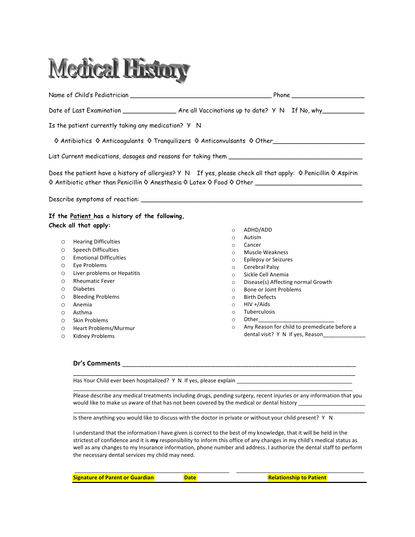# **Medical History**

Name of Child's Pediatrician \_\_\_\_\_\_\_\_\_\_\_\_\_\_\_\_\_\_\_\_\_\_\_\_\_\_\_\_\_\_\_\_\_\_\_\_\_ Phone \_\_\_\_\_\_\_\_\_\_\_\_\_\_\_\_\_\_\_ Date of Last Examination \_\_\_\_\_\_\_\_\_\_\_\_\_\_\_\_\_ Are all Vaccinations up to date? Y N If No, why\_\_\_\_\_\_\_\_\_ Is the patient currently taking any medication? Y N ◊ Antibiotics ◊ Anticoagulants ◊ Tranquilizers ◊ Anticonvulsants ◊ Other\_\_\_\_\_\_\_\_\_\_\_\_\_\_\_\_\_\_\_\_\_\_\_\_ List Current medications, dosages and reasons for taking them \_\_\_\_\_\_\_\_\_\_\_\_\_\_\_\_\_\_\_\_\_\_\_\_\_\_\_\_\_\_\_\_\_\_\_ Does the patient have a history of allergies? Y N If yes, please check all that apply: ◊ Penicillin ◊ Aspirin ◊ Antibiotic other than Penicillin ◊ Anesthesia ◊ Latex ◊ Food ◊ Other \_\_\_\_\_\_\_\_\_\_\_\_\_\_\_\_\_\_\_\_\_\_\_\_\_\_\_\_ Describe symptoms of reaction: \_\_\_\_\_\_\_\_\_\_\_\_\_\_\_\_\_\_\_\_\_\_\_\_\_\_\_\_\_\_\_\_\_\_\_\_\_\_\_\_\_\_\_\_\_\_\_\_\_\_\_\_\_\_\_\_\_\_ **If the Patient has a history of the following, Check all that apply:** o Hearing!Difficulties o ADHD/ADD o Autism o Cancer

- o Speech!Difficulties
- o Emotional!Difficulties
- o Eye!Problems
- $O$  Liver problems or Hepatitis
- o Rheumatic!Fever
- o Diabetes
- o Bleeding!Problems
- o Anemia!
- o Asthma
- o Skin!Problems
- o Heart!Problems/Murmur
- o Kidney!Problems
- o Muscle!Weakness
- o Epilepsy or Seizures
- o Cerebral Palsy
- o Sickle Cell Anemia
- o Disease(s) Affecting normal Growth
- o Bone or Joint Problems
- o Birth!Defects
- $O$  HIV +/Aids
- o Tuberculosis
- o Other\_\_\_\_\_\_\_\_\_\_\_\_\_\_\_\_\_\_\_\_\_\_\_\_\_
- o Any Reason for child to premedicate before a dental visit? Y N If yes, Reason

#### **Dr's Comments**

Has Your Child ever been hospitalized? Y N If yes, please explain

Please describe any medical treatments including drugs, pending surgery, recent injuries or any information that you would like to make us aware of that has not been covered by the medical or dental history \_\_\_\_\_\_\_\_\_\_\_\_\_\_\_\_\_\_\_\_ \_\_\_\_\_\_\_\_\_\_\_\_\_\_\_\_\_\_\_\_\_\_\_\_\_\_\_\_\_\_\_\_\_\_\_\_\_\_\_\_\_\_\_\_\_\_\_\_\_\_\_\_\_\_\_\_\_\_\_\_\_\_\_\_\_\_\_\_\_\_\_\_\_\_\_\_\_\_\_\_\_\_\_\_\_\_\_\_\_\_\_\_\_\_\_\_

\_\_\_\_\_\_\_\_\_\_\_\_\_\_\_\_\_\_\_\_\_\_\_\_\_\_\_\_\_\_\_\_\_\_\_\_\_\_\_\_\_\_\_\_\_\_\_\_\_\_\_\_\_\_\_\_\_\_\_\_\_\_\_\_\_\_\_\_\_\_\_\_\_\_\_\_

\_\_\_\_\_\_\_\_\_\_\_\_\_\_\_\_\_\_\_\_\_\_\_\_\_\_\_\_\_\_\_\_\_\_\_\_\_\_\_\_\_\_\_\_\_\_\_\_\_\_\_\_\_\_\_\_\_\_\_\_\_\_\_\_\_\_\_\_\_\_\_\_\_\_\_\_\_\_\_\_\_\_\_\_\_\_\_\_\_\_\_\_

Is there anything you would like to discuss with the doctor in private or without your child present? Y N

I understand that the information I have given is correct to the best of my knowledge, that it will be held in the strictest of confidence and it is my responsibility to inform this office of any changes in my child's medical status as well as any changes to my Insurance information, phone number and address. I authorize the dental staff to perform the necessary dental services my child may need.

\_\_\_\_\_\_\_\_\_\_\_\_\_\_\_\_\_\_\_\_\_\_\_\_\_\_\_\_\_\_\_\_\_\_\_\_\_\_\_\_\_\_\_\_\_\_\_\_\_\_\_!!!!!\_\_\_\_\_\_\_\_\_\_\_\_\_\_\_\_\_\_\_\_\_\_\_\_\_\_\_\_\_\_\_\_\_\_\_\_\_\_\_\_\_\_!!!!!!!!!!!!!!!!!!!!!!!!

**Signature of Cuartaius Signature Signature Signature Signature Signature Signature Signature Signature Signature Signature Signature Signature Signature Signature Signature Signature Signature Signature Signature Signatur**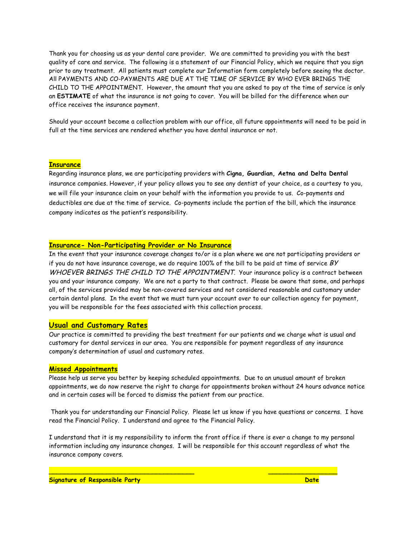Thank you for choosing us as your dental care provider. We are committed to providing you with the best quality of care and service. The following is a statement of our Financial Policy, which we require that you sign prior to any treatment. All patients must complete our Information form completely before seeing the doctor. All PAYMENTS AND CO-PAYMENTS ARE DUE AT THE TIME OF SERVICE BY WHO EVER BRINGS THE CHILD TO THE APPOINTMENT. However, the amount that you are asked to pay at the time of service is only an **ESTIMATE** of what the insurance is not going to cover. You will be billed for the difference when our office receives the insurance payment.

Should your account become a collection problem with our office, all future appointments will need to be paid in full at the time services are rendered whether you have dental insurance or not.

#### **Insurance**

Regarding insurance plans, we are participating providers with **Cigna, Guardian, Aetna and Delta Dental**  insurance companies. However, if your policy allows you to see any dentist of your choice, as a courtesy to you, we will file your insurance claim on your behalf with the information you provide to us. Co-payments and deductibles are due at the time of service. Co-payments include the portion of the bill, which the insurance company indicates as the patient's responsibility.!

#### **Insurance- Non-Participating Provider or No Insurance**

In the event that your insurance coverage changes to/or is a plan where we are not participating providers or if you do not have insurance coverage, we do require 100% of the bill to be paid at time of service  $BY$ WHOEVER BRINGS THE CHILD TO THE APPOINTMENT. Your insurance policy is a contract between you and your insurance company. We are not a party to that contract. Please be aware that some, and perhaps all, of the services provided may be non-covered services and not considered reasonable and customary under certain dental plans. In the event that we must turn your account over to our collection agency for payment, you will be responsible for the fees associated with this collection process.

#### **Usual and Customary Rates**

Our practice is committed to providing the best treatment for our patients and we charge what is usual and customary for dental services in our area. You are responsible for payment regardless of any insurance company's determination of usual and customary rates.

#### **Missed Appointments**

Please help us serve you better by keeping scheduled appointments. Due to an unusual amount of broken appointments, we do now reserve the right to charge for appointments broken without 24 hours advance notice and in certain cases will be forced to dismiss the patient from our practice.

Thank you for understanding our Financial Policy. Please let us know if you have questions or concerns. I have read the Financial Policy. I understand and agree to the Financial Policy.

I understand that it is my responsibility to inform the front office if there is ever a change to my personal information including any insurance changes. I will be responsible for this account regardless of what the insurance company covers.

**\_\_\_\_\_\_\_\_\_\_\_\_\_\_\_\_\_\_\_\_\_\_\_\_\_\_\_\_\_\_\_\_\_\_\_\_\_\_ \_\_\_\_\_\_\_\_\_\_\_\_\_\_\_\_\_\_**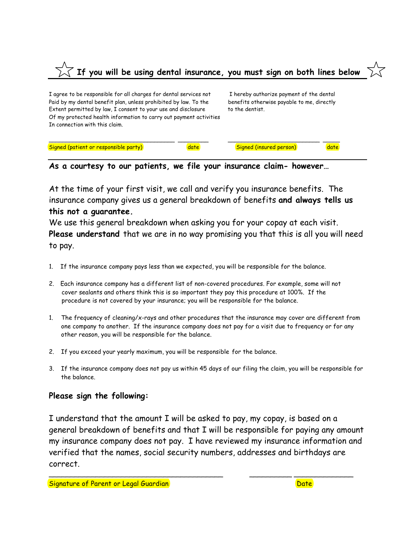# **If you will be using dental insurance, you must sign on both lines below**

I agree to be responsible for all charges for dental services not I hereby authorize payment of the dental Paid by my dental benefit plan, unless prohibited by law. To the benefits otherwise payable to me, directly Extent permitted by law, I consent to your use and disclosure to the dentist. Of my protected health information to carry out payment activities In connection with this claim.

| Signed (patient or responsible party) | date | <b>Signed (insured person)</b> | date |
|---------------------------------------|------|--------------------------------|------|
|                                       |      |                                |      |

**As a courtesy to our patients, we file your insurance claim- however…**

At the time of your first visit, we call and verify you insurance benefits. The insurance company gives us a general breakdown of benefits **and always tells us this not a guarantee.**

We use this general breakdown when asking you for your copay at each visit. **Please understand** that we are in no way promising you that this is all you will need to pay.

- 1. If the insurance company pays less than we expected, you will be responsible for the balance.
- 2. Each insurance company has a different list of non-covered procedures. For example, some will not cover sealants and others think this is so important they pay this procedure at 100%. If the procedure is not covered by your insurance; you will be responsible for the balance.
- 1. The frequency of cleaning/x-rays and other procedures that the insurance may cover are different from one company to another. If the insurance company does not pay for a visit due to frequency or for any other reason, you will be responsible for the balance.
- 2. If you exceed your yearly maximum, you will be responsible for the balance.
- 3. If the insurance company does not pay us within 45 days of our filing the claim, you will be responsible for the balance.

### **Please sign the following:**

I understand that the amount I will be asked to pay, my copay, is based on a general breakdown of benefits and that I will be responsible for paying any amount my insurance company does not pay. I have reviewed my insurance information and verified that the names, social security numbers, addresses and birthdays are correct.

\_\_\_\_\_\_\_\_\_\_\_\_\_\_\_\_\_\_\_\_\_\_\_\_\_\_\_\_\_\_\_\_\_\_\_\_\_\_\_\_\_ \_\_\_\_\_\_\_\_\_\_ \_\_\_\_\_\_\_\_\_\_\_\_\_\_